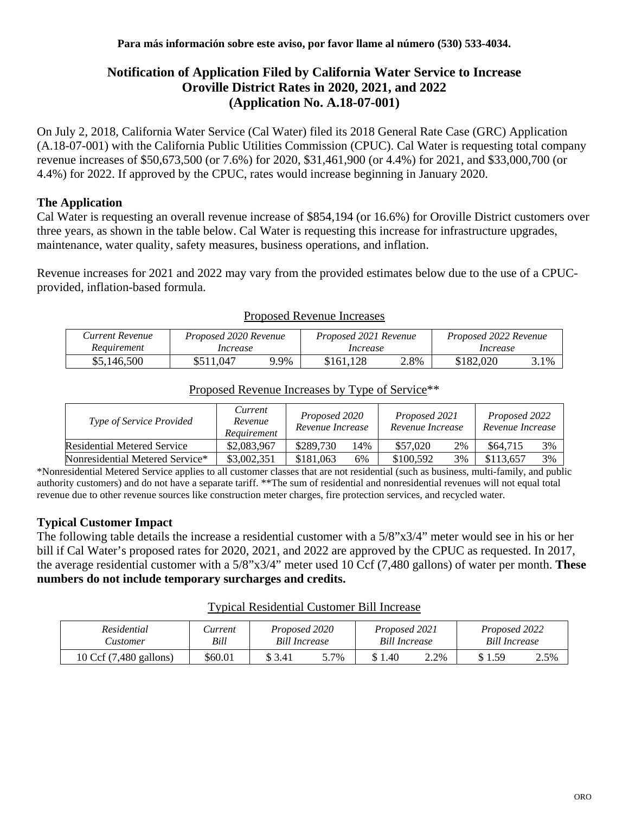# **Notification of Application Filed by California Water Service to Increase Oroville District Rates in 2020, 2021, and 2022 (Application No. A.18-07-001)**

On July 2, 2018, California Water Service (Cal Water) filed its 2018 General Rate Case (GRC) Application (A.18-07-001) with the California Public Utilities Commission (CPUC). Cal Water is requesting total company revenue increases of \$50,673,500 (or 7.6%) for 2020, \$31,461,900 (or 4.4%) for 2021, and \$33,000,700 (or 4.4%) for 2022. If approved by the CPUC, rates would increase beginning in January 2020.

## **The Application**

Cal Water is requesting an overall revenue increase of \$854,194 (or 16.6%) for Oroville District customers over three years, as shown in the table below. Cal Water is requesting this increase for infrastructure upgrades, maintenance, water quality, safety measures, business operations, and inflation.

Revenue increases for 2021 and 2022 may vary from the provided estimates below due to the use of a CPUCprovided, inflation-based formula.

|                 |                       |         | 11000000 1W .OUGO 111010000 |      |                       |      |  |
|-----------------|-----------------------|---------|-----------------------------|------|-----------------------|------|--|
| Current Revenue | Proposed 2020 Revenue |         | Proposed 2021 Revenue       |      | Proposed 2022 Revenue |      |  |
| Requirement     | Increase              |         | Increase                    |      | Increase              |      |  |
| \$5,146,500     | \$511.047             | $9.9\%$ | \$161,128                   | 2.8% | \$182,020             | 3.1% |  |

#### Proposed Revenue Increases

| <i>Type of Service Provided</i> | Current<br>Revenue<br>Requirement | Proposed 2020<br>Revenue Increase |     | Proposed 2021<br>Revenue Increase |    | Proposed 2022<br>Revenue Increase |    |
|---------------------------------|-----------------------------------|-----------------------------------|-----|-----------------------------------|----|-----------------------------------|----|
| Residential Metered Service     | \$2,083,967                       | \$289,730                         | 14% | \$57,020                          | 2% | \$64,715                          | 3% |
| Nonresidential Metered Service* | \$3,002,351                       | \$181,063                         | 6%  | \$100,592                         | 3% | \$113,657                         | 3% |

## Proposed Revenue Increases by Type of Service\*\*

\*Nonresidential Metered Service applies to all customer classes that are not residential (such as business, multi-family, and public authority customers) and do not have a separate tariff. \*\*The sum of residential and nonresidential revenues will not equal total revenue due to other revenue sources like construction meter charges, fire protection services, and recycled water.

## **Typical Customer Impact**

The following table details the increase a residential customer with a 5/8"x3/4" meter would see in his or her bill if Cal Water's proposed rates for 2020, 2021, and 2022 are approved by the CPUC as requested. In 2017, the average residential customer with a 5/8"x3/4" meter used 10 Ccf (7,480 gallons) of water per month. **These numbers do not include temporary surcharges and credits.**

#### Typical Residential Customer Bill Increase

| Residential            | Current | Proposed 2020        |      | Proposed 2021 |      | Proposed 2022 |      |
|------------------------|---------|----------------------|------|---------------|------|---------------|------|
| <b><i>Lustomer</i></b> | Bill    | <b>Bill Increase</b> |      | Bill Increase |      | Bill Increase |      |
| 10 Ccf (7,480 gallons) | \$60.01 | \$ 3.41              | 5.7% | 1.40          | 2.2% | 1.59          | 2.5% |